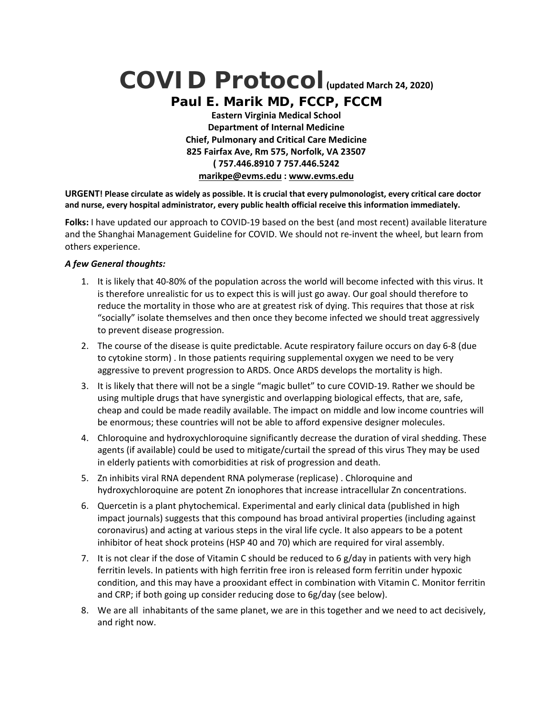# **COVID Protocol(updated March 24, 2020)**

*Paul E. Marik MD, FCCP, FCCM* **Eastern Virginia Medical School Department of Internal Medicine Chief, Pulmonary and Critical Care Medicine 825 Fairfax Ave, Rm 575, Norfolk, VA 23507 ( 757.446.8910 7 757.446.5242 marikpe@evms.edu : www.evms.edu** 

**URGENT! Please circulate as widely as possible. It is crucial that every pulmonologist, every critical care doctor and nurse, every hospital administrator, every public health official receive this information immediately.**

**Folks:** I have updated our approach to COVID‐19 based on the best (and most recent) available literature and the Shanghai Management Guideline for COVID. We should not re-invent the wheel, but learn from others experience.

## *A few General thoughts:*

- 1. It is likely that 40‐80% of the population across the world will become infected with this virus. It is therefore unrealistic for us to expect this is will just go away. Our goal should therefore to reduce the mortality in those who are at greatest risk of dying. This requires that those at risk "socially" isolate themselves and then once they become infected we should treat aggressively to prevent disease progression.
- 2. The course of the disease is quite predictable. Acute respiratory failure occurs on day 6‐8 (due to cytokine storm) . In those patients requiring supplemental oxygen we need to be very aggressive to prevent progression to ARDS. Once ARDS develops the mortality is high.
- 3. It is likely that there will not be a single "magic bullet" to cure COVID‐19. Rather we should be using multiple drugs that have synergistic and overlapping biological effects, that are, safe, cheap and could be made readily available. The impact on middle and low income countries will be enormous; these countries will not be able to afford expensive designer molecules.
- 4. Chloroquine and hydroxychloroquine significantly decrease the duration of viral shedding. These agents (if available) could be used to mitigate/curtail the spread of this virus They may be used in elderly patients with comorbidities at risk of progression and death.
- 5. Zn inhibits viral RNA dependent RNA polymerase (replicase) . Chloroquine and hydroxychloroquine are potent Zn ionophores that increase intracellular Zn concentrations.
- 6. Quercetin is a plant phytochemical. Experimental and early clinical data (published in high impact journals) suggests that this compound has broad antiviral properties (including against coronavirus) and acting at various steps in the viral life cycle. It also appears to be a potent inhibitor of heat shock proteins (HSP 40 and 70) which are required for viral assembly.
- 7. It is not clear if the dose of Vitamin C should be reduced to 6 g/day in patients with very high ferritin levels. In patients with high ferritin free iron is released form ferritin under hypoxic condition, and this may have a prooxidant effect in combination with Vitamin C. Monitor ferritin and CRP; if both going up consider reducing dose to 6g/day (see below).
- 8. We are all inhabitants of the same planet, we are in this together and we need to act decisively, and right now.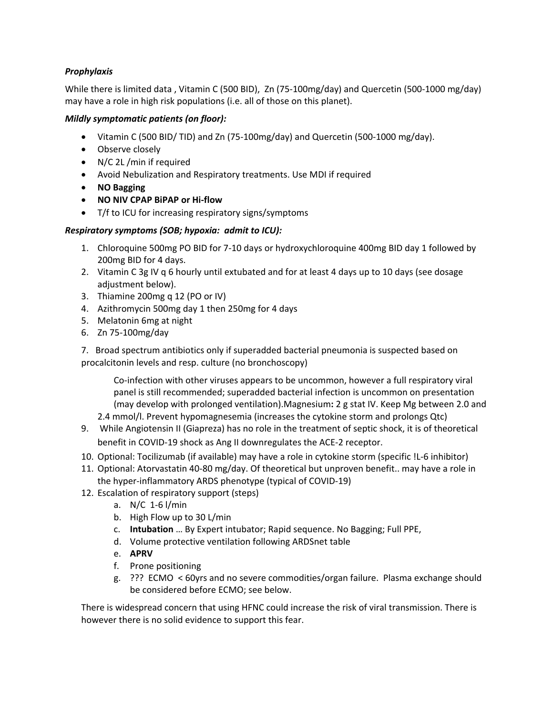# *Prophylaxis*

While there is limited data , Vitamin C (500 BID), Zn (75‐100mg/day) and Quercetin (500‐1000 mg/day) may have a role in high risk populations (i.e. all of those on this planet).

#### *Mildly symptomatic patients (on floor):*

- Vitamin C (500 BID/ TID) and Zn (75‐100mg/day) and Quercetin (500‐1000 mg/day).
- Observe closely
- N/C 2L /min if required
- Avoid Nebulization and Respiratory treatments. Use MDI if required
- **NO Bagging**
- **NO NIV CPAP BiPAP or Hi‐flow**
- T/f to ICU for increasing respiratory signs/symptoms

## *Respiratory symptoms (SOB; hypoxia: admit to ICU):*

- 1. Chloroquine 500mg PO BID for 7‐10 days or hydroxychloroquine 400mg BID day 1 followed by 200mg BID for 4 days.
- 2. Vitamin C 3g IV q 6 hourly until extubated and for at least 4 days up to 10 days (see dosage adjustment below).
- 3. Thiamine 200mg q 12 (PO or IV)
- 4. Azithromycin 500mg day 1 then 250mg for 4 days
- 5. Melatonin 6mg at night
- 6. Zn 75‐100mg/day

7. Broad spectrum antibiotics only if superadded bacterial pneumonia is suspected based on procalcitonin levels and resp. culture (no bronchoscopy)

Co-infection with other viruses appears to be uncommon, however a full respiratory viral panel is still recommended; superadded bacterial infection is uncommon on presentation (may develop with prolonged ventilation).Magnesium**:** 2 g stat IV. Keep Mg between 2.0 and

2.4 mmol/l. Prevent hypomagnesemia (increases the cytokine storm and prolongs Qtc)

- 9. While Angiotensin II (Giapreza) has no role in the treatment of septic shock, it is of theoretical benefit in COVID‐19 shock as Ang II downregulates the ACE‐2 receptor.
- 10. Optional: Tocilizumab (if available) may have a role in cytokine storm (specific !L‐6 inhibitor)
- 11. Optional: Atorvastatin 40‐80 mg/day. Of theoretical but unproven benefit.. may have a role in the hyper‐inflammatory ARDS phenotype (typical of COVID‐19)
- 12. Escalation of respiratory support (steps)
	- a. N/C 1‐6 l/min
	- b. High Flow up to 30 L/min
	- c. **Intubation** … By Expert intubator; Rapid sequence. No Bagging; Full PPE,
	- d. Volume protective ventilation following ARDSnet table
	- e. **APRV**
	- f. Prone positioning
	- g. ??? ECMO < 60yrs and no severe commodities/organ failure. Plasma exchange should be considered before ECMO; see below.

There is widespread concern that using HFNC could increase the risk of viral transmission. There is however there is no solid evidence to support this fear.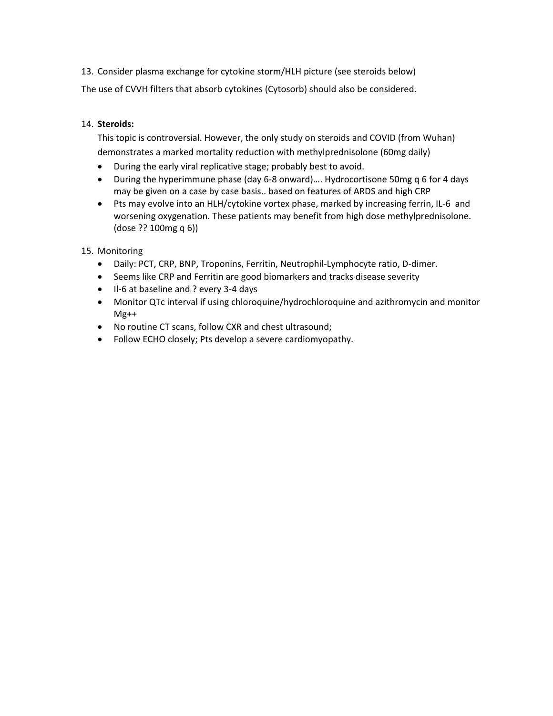13. Consider plasma exchange for cytokine storm/HLH picture (see steroids below) The use of CVVH filters that absorb cytokines (Cytosorb) should also be considered.

# 14. **Steroids:**

This topic is controversial. However, the only study on steroids and COVID (from Wuhan) demonstrates a marked mortality reduction with methylprednisolone (60mg daily)

- During the early viral replicative stage; probably best to avoid.
- During the hyperimmune phase (day 6-8 onward).... Hydrocortisone 50mg q 6 for 4 days may be given on a case by case basis.. based on features of ARDS and high CRP
- Pts may evolve into an HLH/cytokine vortex phase, marked by increasing ferrin, IL‐6 and worsening oxygenation. These patients may benefit from high dose methylprednisolone. (dose ?? 100mg q 6))

15. Monitoring

- Daily: PCT, CRP, BNP, Troponins, Ferritin, Neutrophil‐Lymphocyte ratio, D‐dimer.
- Seems like CRP and Ferritin are good biomarkers and tracks disease severity
- Il-6 at baseline and ? every 3-4 days
- Monitor QTc interval if using chloroquine/hydrochloroquine and azithromycin and monitor Mg++
- No routine CT scans, follow CXR and chest ultrasound;
- Follow ECHO closely; Pts develop a severe cardiomyopathy.